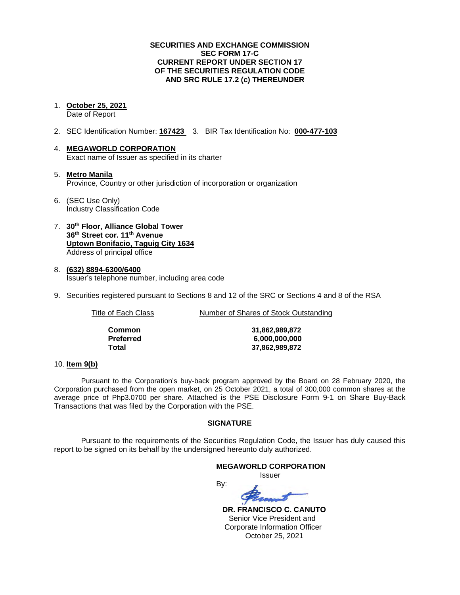## **SECURITIES AND EXCHANGE COMMISSION SEC FORM 17-C CURRENT REPORT UNDER SECTION 17 OF THE SECURITIES REGULATION CODE AND SRC RULE 17.2 (c) THEREUNDER**

#### 1. **October 25, 2021** Date of Report

- 2. SEC Identification Number: **167423** 3. BIR Tax Identification No: **000-477-103**
- 4. **MEGAWORLD CORPORATION** Exact name of Issuer as specified in its charter
- 5. **Metro Manila** Province, Country or other jurisdiction of incorporation or organization
- 6. (SEC Use Only) Industry Classification Code
- 7. **30th Floor, Alliance Global Tower 36th Street cor. 11th Avenue Uptown Bonifacio, Taguig City 1634** Address of principal office
- 8. **(632) 8894-6300/6400** Issuer's telephone number, including area code
- 9. Securities registered pursuant to Sections 8 and 12 of the SRC or Sections 4 and 8 of the RSA

Title of Each Class **Number of Shares of Stock Outstanding** 

| Common    |
|-----------|
| Preferred |
| Total     |

**Common 31,862,989,872 Preferred 6,000,000,000 Total 37,862,989,872**

#### 10. **Item 9(b)**

Pursuant to the Corporation's buy-back program approved by the Board on 28 February 2020, the Corporation purchased from the open market, on 25 October 2021, a total of 300,000 common shares at the average price of Php3.0700 per share. Attached is the PSE Disclosure Form 9-1 on Share Buy-Back Transactions that was filed by the Corporation with the PSE.

## **SIGNATURE**

Pursuant to the requirements of the Securities Regulation Code, the Issuer has duly caused this report to be signed on its behalf by the undersigned hereunto duly authorized.

## **MEGAWORLD CORPORATION** *<u>Issuer</u> Issuer* By:

 **DR. FRANCISCO C. CANUTO** Senior Vice President and Corporate Information Officer October 25, 2021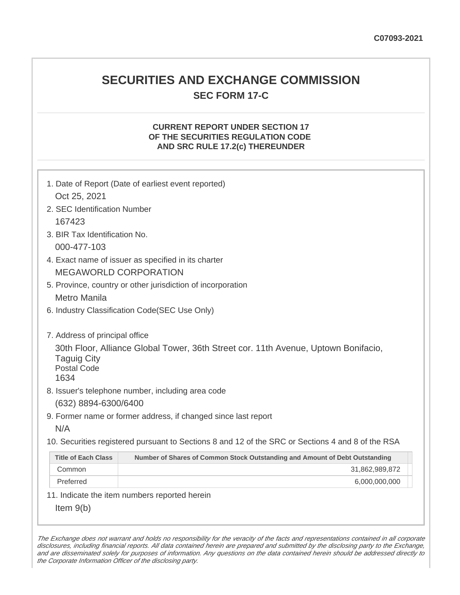## **SECURITIES AND EXCHANGE COMMISSION SEC FORM 17-C**

## **CURRENT REPORT UNDER SECTION 17 OF THE SECURITIES REGULATION CODE AND SRC RULE 17.2(c) THEREUNDER**

| 1. Date of Report (Date of earliest event reported)                                                                                    |                                                                             |  |  |  |  |
|----------------------------------------------------------------------------------------------------------------------------------------|-----------------------------------------------------------------------------|--|--|--|--|
| Oct 25, 2021                                                                                                                           |                                                                             |  |  |  |  |
| 2. SEC Identification Number                                                                                                           |                                                                             |  |  |  |  |
| 167423                                                                                                                                 |                                                                             |  |  |  |  |
| 3. BIR Tax Identification No.                                                                                                          |                                                                             |  |  |  |  |
| 000-477-103                                                                                                                            |                                                                             |  |  |  |  |
| 4. Exact name of issuer as specified in its charter                                                                                    |                                                                             |  |  |  |  |
| <b>MEGAWORLD CORPORATION</b>                                                                                                           |                                                                             |  |  |  |  |
| 5. Province, country or other jurisdiction of incorporation                                                                            |                                                                             |  |  |  |  |
| <b>Metro Manila</b>                                                                                                                    |                                                                             |  |  |  |  |
|                                                                                                                                        | 6. Industry Classification Code(SEC Use Only)                               |  |  |  |  |
|                                                                                                                                        |                                                                             |  |  |  |  |
| 7. Address of principal office                                                                                                         |                                                                             |  |  |  |  |
| 30th Floor, Alliance Global Tower, 36th Street cor. 11th Avenue, Uptown Bonifacio,<br><b>Taguig City</b><br><b>Postal Code</b><br>1634 |                                                                             |  |  |  |  |
|                                                                                                                                        | 8. Issuer's telephone number, including area code                           |  |  |  |  |
| (632) 8894-6300/6400                                                                                                                   |                                                                             |  |  |  |  |
|                                                                                                                                        | 9. Former name or former address, if changed since last report              |  |  |  |  |
| N/A                                                                                                                                    |                                                                             |  |  |  |  |
| 10. Securities registered pursuant to Sections 8 and 12 of the SRC or Sections 4 and 8 of the RSA                                      |                                                                             |  |  |  |  |
| <b>Title of Each Class</b>                                                                                                             | Number of Shares of Common Stock Outstanding and Amount of Debt Outstanding |  |  |  |  |
| Common                                                                                                                                 | 31,862,989,872                                                              |  |  |  |  |
| Preferred                                                                                                                              | 6,000,000,000                                                               |  |  |  |  |
|                                                                                                                                        | 11. Indicate the item numbers reported herein                               |  |  |  |  |
| Item $9(b)$                                                                                                                            |                                                                             |  |  |  |  |

The Exchange does not warrant and holds no responsibility for the veracity of the facts and representations contained in all corporate disclosures, including financial reports. All data contained herein are prepared and submitted by the disclosing party to the Exchange, and are disseminated solely for purposes of information. Any questions on the data contained herein should be addressed directly to the Corporate Information Officer of the disclosing party.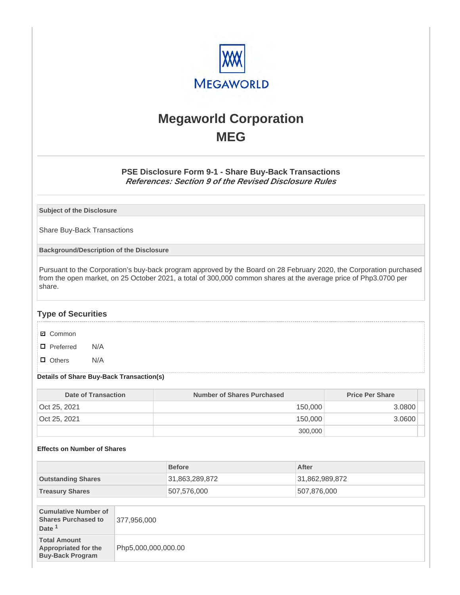

# **Megaworld Corporation MEG**

## **PSE Disclosure Form 9-1 - Share Buy-Back Transactions References: Section 9 of the Revised Disclosure Rules**

**Subject of the Disclosure**

Share Buy-Back Transactions

**Background/Description of the Disclosure**

Pursuant to the Corporation's buy-back program approved by the Board on 28 February 2020, the Corporation purchased from the open market, on 25 October 2021, a total of 300,000 common shares at the average price of Php3.0700 per share.

## **Type of Securities**

- **☑** Common
- □ Preferred N/A
- D Others N/A

#### **Details of Share Buy-Back Transaction(s)**

| Date of Transaction | Number of Shares Purchased | <b>Price Per Share</b> |
|---------------------|----------------------------|------------------------|
| Oct 25, 2021        | 150,000                    | 3.0800                 |
| Oct 25, 2021        | 150,000                    | 3.0600                 |
|                     | 300,000                    |                        |

#### **Effects on Number of Shares**

|                                                                                |                     | <b>Before</b>  |  | After          |
|--------------------------------------------------------------------------------|---------------------|----------------|--|----------------|
| <b>Outstanding Shares</b>                                                      |                     | 31,863,289,872 |  | 31,862,989,872 |
| <b>Treasury Shares</b>                                                         |                     | 507,576,000    |  | 507,876,000    |
|                                                                                |                     |                |  |                |
| <b>Cumulative Number of</b><br><b>Shares Purchased to</b><br>Date <sup>1</sup> | 377,956,000         |                |  |                |
| <b>Total Amount</b><br><b>Appropriated for the</b><br><b>Buy-Back Program</b>  | Php5,000,000,000.00 |                |  |                |